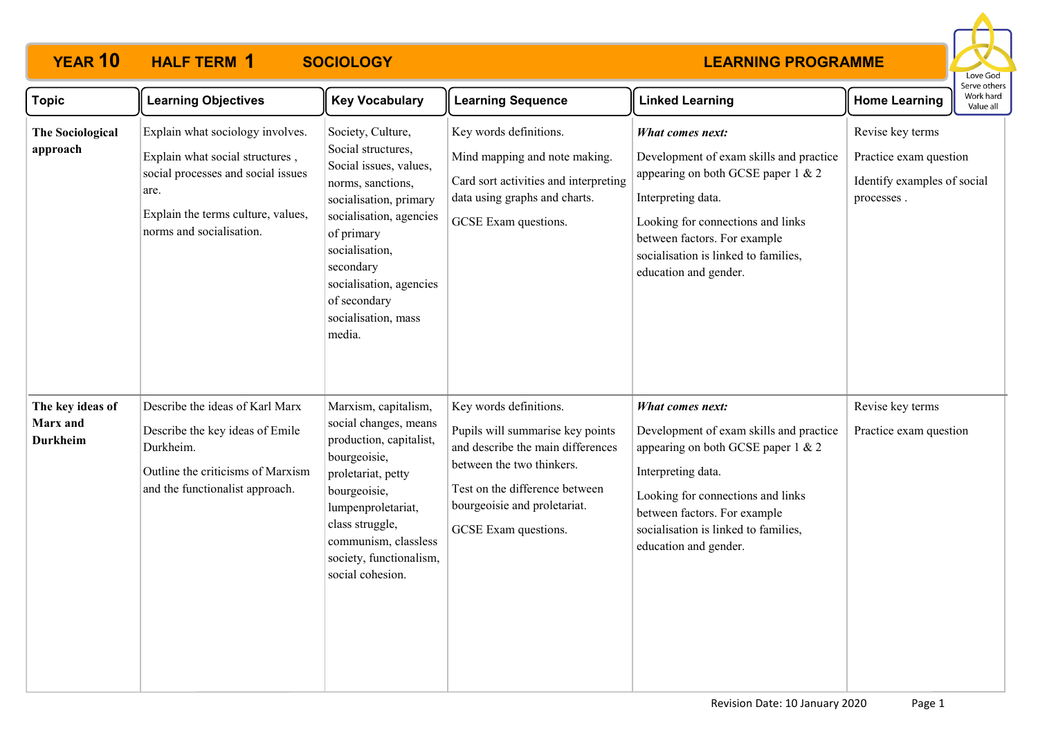# **YEAR 10 HALF TERM SOCIOLOGY 1**

#### **LEARNING PROGRAMME**



| <b>Topic</b>                                    | <b>Learning Objectives</b>                                                                                                                                                          | <b>Key Vocabulary</b>                                                                                                                                                                                                                                                | <b>Learning Sequence</b>                                                                                                                                                                                               | <b>Linked Learning</b>                                                                                                                                                                                                                                           | <b>Home Learning</b>                                                                    | Serve others<br>Work hard<br>Value all |
|-------------------------------------------------|-------------------------------------------------------------------------------------------------------------------------------------------------------------------------------------|----------------------------------------------------------------------------------------------------------------------------------------------------------------------------------------------------------------------------------------------------------------------|------------------------------------------------------------------------------------------------------------------------------------------------------------------------------------------------------------------------|------------------------------------------------------------------------------------------------------------------------------------------------------------------------------------------------------------------------------------------------------------------|-----------------------------------------------------------------------------------------|----------------------------------------|
| The Sociological<br>approach                    | Explain what sociology involves.<br>Explain what social structures,<br>social processes and social issues<br>are.<br>Explain the terms culture, values,<br>norms and socialisation. | Society, Culture,<br>Social structures,<br>Social issues, values,<br>norms, sanctions,<br>socialisation, primary<br>socialisation, agencies<br>of primary<br>socialisation,<br>secondary<br>socialisation, agencies<br>of secondary<br>socialisation, mass<br>media. | Key words definitions.<br>Mind mapping and note making.<br>Card sort activities and interpreting<br>data using graphs and charts.<br>GCSE Exam questions.                                                              | What comes next:<br>Development of exam skills and practice<br>appearing on both GCSE paper $1 \& 2$<br>Interpreting data.<br>Looking for connections and links<br>between factors. For example<br>socialisation is linked to families,<br>education and gender. | Revise key terms<br>Practice exam question<br>Identify examples of social<br>processes. |                                        |
| The key ideas of<br>Marx and<br><b>Durkheim</b> | Describe the ideas of Karl Marx<br>Describe the key ideas of Emile<br>Durkheim.<br>Outline the criticisms of Marxism<br>and the functionalist approach.                             | Marxism, capitalism,<br>social changes, means<br>production, capitalist,<br>bourgeoisie,<br>proletariat, petty<br>bourgeoisie,<br>lumpenproletariat,<br>class struggle,<br>communism, classless<br>society, functionalism,<br>social cohesion.                       | Key words definitions.<br>Pupils will summarise key points<br>and describe the main differences<br>between the two thinkers.<br>Test on the difference between<br>bourgeoisie and proletariat.<br>GCSE Exam questions. | What comes next:<br>Development of exam skills and practice<br>appearing on both GCSE paper $1 \& 2$<br>Interpreting data.<br>Looking for connections and links<br>between factors. For example<br>socialisation is linked to families,<br>education and gender. | Revise key terms<br>Practice exam question                                              |                                        |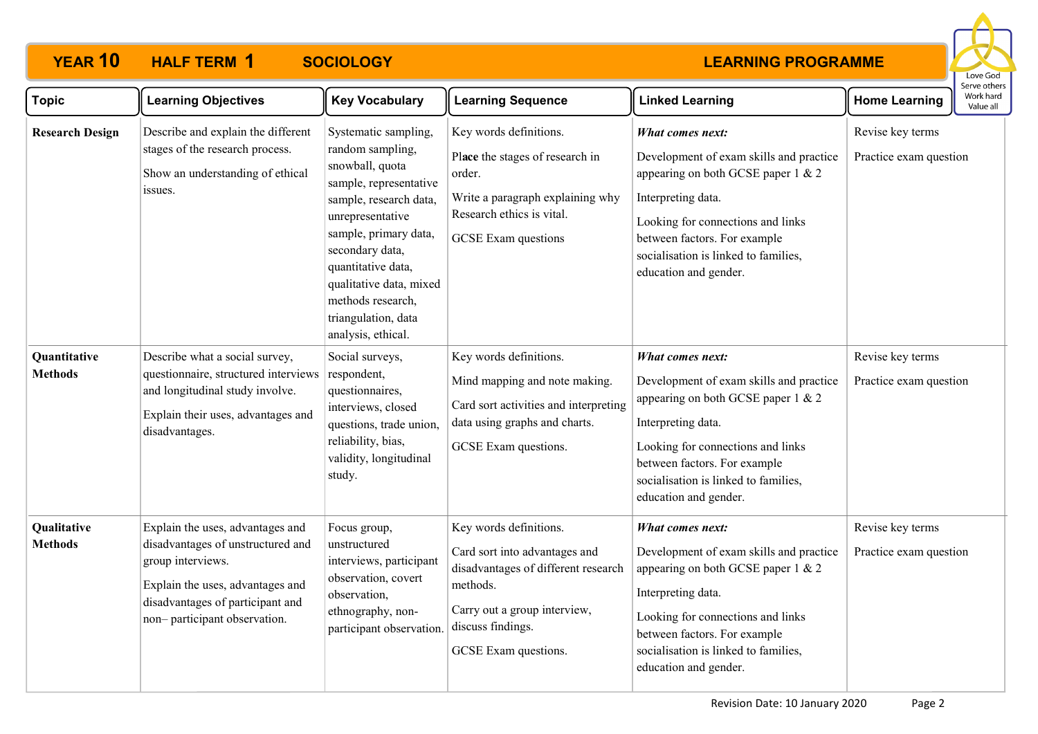# **YEAR 10 HALF TERM SOCIOLOGY 1**

### **LEARNING PROGRAMME**



| <b>Topic</b>                           | <b>Learning Objectives</b>                                                                                                                                                                         | <b>Key Vocabulary</b>                                                                                                                                                                                                                                                                                                 | <b>Learning Sequence</b>                                                                                                                                                                     | <b>Linked Learning</b>                                                                                                                                                                                                                                                                      | <b>Home Learning</b>                                           | Serve others<br>Work hard<br>Value all |
|----------------------------------------|----------------------------------------------------------------------------------------------------------------------------------------------------------------------------------------------------|-----------------------------------------------------------------------------------------------------------------------------------------------------------------------------------------------------------------------------------------------------------------------------------------------------------------------|----------------------------------------------------------------------------------------------------------------------------------------------------------------------------------------------|---------------------------------------------------------------------------------------------------------------------------------------------------------------------------------------------------------------------------------------------------------------------------------------------|----------------------------------------------------------------|----------------------------------------|
| <b>Research Design</b><br>Quantitative | Describe and explain the different<br>stages of the research process.<br>Show an understanding of ethical<br>issues.<br>Describe what a social survey,                                             | Systematic sampling,<br>random sampling,<br>snowball, quota<br>sample, representative<br>sample, research data,<br>unrepresentative<br>sample, primary data,<br>secondary data,<br>quantitative data,<br>qualitative data, mixed<br>methods research,<br>triangulation, data<br>analysis, ethical.<br>Social surveys, | Key words definitions.<br>Place the stages of research in<br>order.<br>Write a paragraph explaining why<br>Research ethics is vital.<br><b>GCSE</b> Exam questions<br>Key words definitions. | What comes next:<br>Development of exam skills and practice<br>appearing on both GCSE paper $1 \& 2$<br>Interpreting data.<br>Looking for connections and links<br>between factors. For example<br>socialisation is linked to families,<br>education and gender.<br><b>What comes next:</b> | Revise key terms<br>Practice exam question<br>Revise key terms |                                        |
| <b>Methods</b>                         | questionnaire, structured interviews<br>and longitudinal study involve.<br>Explain their uses, advantages and<br>disadvantages.                                                                    | respondent,<br>questionnaires,<br>interviews, closed<br>questions, trade union,<br>reliability, bias,<br>validity, longitudinal<br>study.                                                                                                                                                                             | Mind mapping and note making.<br>Card sort activities and interpreting<br>data using graphs and charts.<br>GCSE Exam questions.                                                              | Development of exam skills and practice<br>appearing on both GCSE paper 1 & 2<br>Interpreting data.<br>Looking for connections and links<br>between factors. For example<br>socialisation is linked to families,<br>education and gender.                                                   | Practice exam question                                         |                                        |
| Qualitative<br><b>Methods</b>          | Explain the uses, advantages and<br>disadvantages of unstructured and<br>group interviews.<br>Explain the uses, advantages and<br>disadvantages of participant and<br>non-participant observation. | Focus group,<br>unstructured<br>interviews, participant<br>observation, covert<br>observation,<br>ethnography, non-<br>participant observation.                                                                                                                                                                       | Key words definitions.<br>Card sort into advantages and<br>disadvantages of different research<br>methods.<br>Carry out a group interview,<br>discuss findings.<br>GCSE Exam questions.      | <b>What comes next:</b><br>Development of exam skills and practice<br>appearing on both GCSE paper $1 \& 2$<br>Interpreting data.<br>Looking for connections and links<br>between factors. For example<br>socialisation is linked to families,<br>education and gender.                     | Revise key terms<br>Practice exam question                     |                                        |